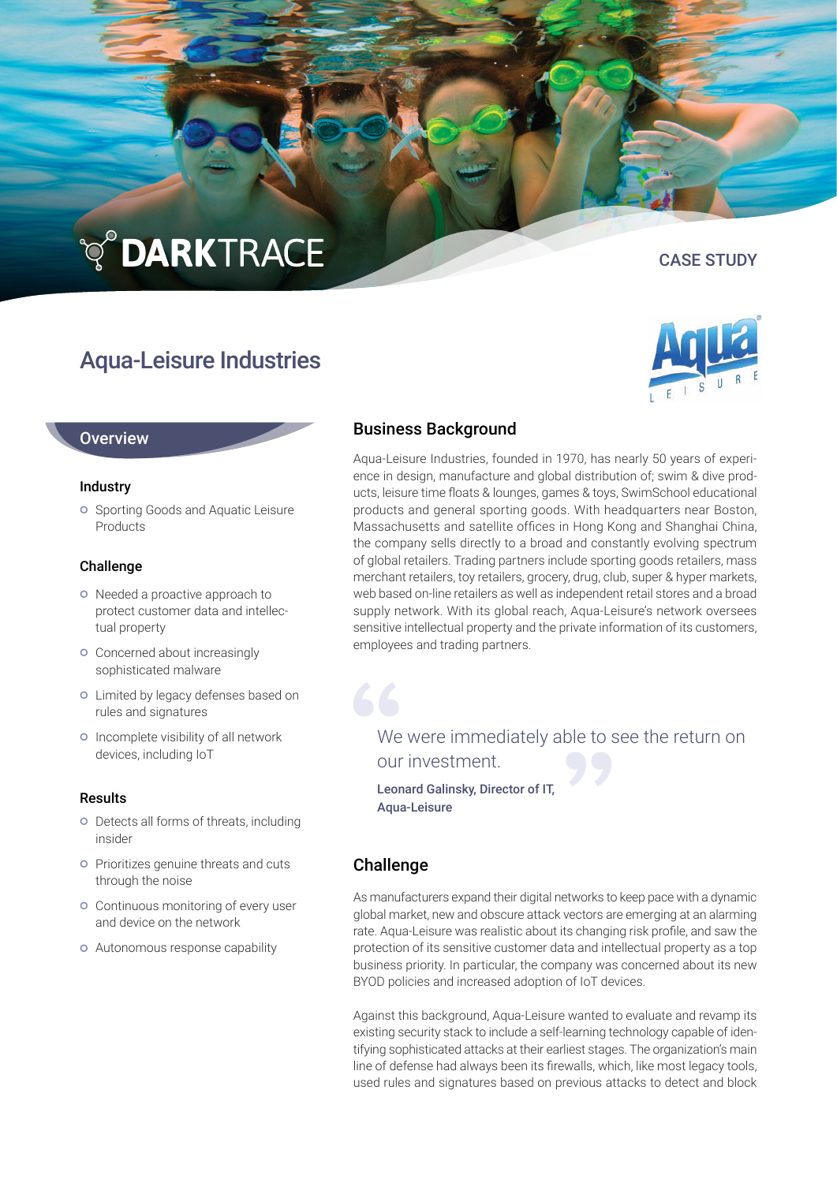# **TO DARKTRACE**

## Aqua-Leisure Industries

#### **Overview**

#### Industry

**o** Sporting Goods and Aquatic Leisure **Products** 

#### Challenge

- o Needed a proactive approach to protect customer data and intellectual property
- **o** Concerned about increasingly sophisticated malware
- o Limited by legacy defenses based on rules and signatures
- o Incomplete visibility of all network devices, including IoT

#### Results

- **o** Detects all forms of threats, including insider
- **Prioritizes genuine threats and cuts** through the noise
- Continuous monitoring of every user and device on the network
- Autonomous response capability

### Business Background

Aqua-Leisure Industries, founded in 1970, has nearly 50 years of experience in design, manufacture and global distribution of; swim & dive products, leisure time floats & lounges, games & toys, SwimSchool educational products and general sporting goods. With headquarters near Boston, Massachusetts and satellite offices in Hong Kong and Shanghai China, the company sells directly to a broad and constantly evolving spectrum of global retailers. Trading partners include sporting goods retailers, mass merchant retailers, toy retailers, grocery, drug, club, super & hyper markets, web based on-line retailers as well as independent retail stores and a broad supply network. With its global reach, Aqua-Leisure's network oversees sensitive intellectual property and the private information of its customers, employees and trading partners.

We were immediately able to see the return on our investment.

Leonard Galinsky, Director of IT, Aqua-Leisure

#### Challenge

As manufacturers expand their digital networks to keep pace with a dynamic global market, new and obscure attack vectors are emerging at an alarming rate. Aqua-Leisure was realistic about its changing risk profile, and saw the protection of its sensitive customer data and intellectual property as a top business priority. In particular, the company was concerned about its new BYOD policies and increased adoption of IoT devices.

Against this background, Aqua-Leisure wanted to evaluate and revamp its existing security stack to include a self-learning technology capable of identifying sophisticated attacks at their earliest stages. The organization's main line of defense had always been its firewalls, which, like most legacy tools, used rules and signatures based on previous attacks to detect and block



# CASE STUDY